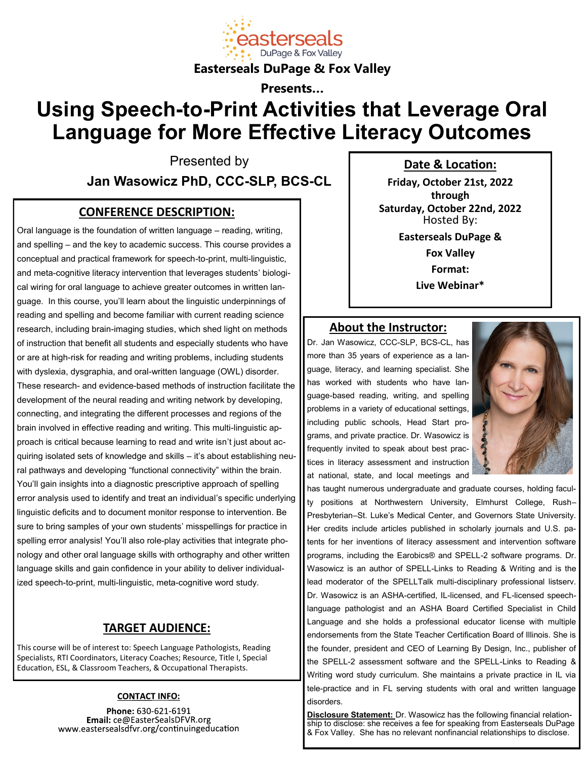

**Easterseals DuPage & Fox Valley**

**Presents…**

# **Using Speech-to-Print Activities that Leverage Oral Language for More Effective Literacy Outcomes**

Presented by

**Jan Wasowicz PhD, CCC-SLP, BCS-CL**

### **CONFERENCE DESCRIPTION:**

Oral language is the foundation of written language – reading, writing, and spelling – and the key to academic success. This course provides a conceptual and practical framework for speech-to-print, multi-linguistic, and meta-cognitive literacy intervention that leverages students' biological wiring for oral language to achieve greater outcomes in written language. In this course, you'll learn about the linguistic underpinnings of reading and spelling and become familiar with current reading science research, including brain-imaging studies, which shed light on methods of instruction that benefit all students and especially students who have or are at high-risk for reading and writing problems, including students with dyslexia, dysgraphia, and oral-written language (OWL) disorder. These research- and evidence-based methods of instruction facilitate the development of the neural reading and writing network by developing, connecting, and integrating the different processes and regions of the brain involved in effective reading and writing. This multi-linguistic approach is critical because learning to read and write isn't just about acquiring isolated sets of knowledge and skills – it's about establishing neural pathways and developing "functional connectivity" within the brain. You'll gain insights into a diagnostic prescriptive approach of spelling error analysis used to identify and treat an individual's specific underlying linguistic deficits and to document monitor response to intervention. Be sure to bring samples of your own students' misspellings for practice in spelling error analysis! You'll also role-play activities that integrate phonology and other oral language skills with orthography and other written language skills and gain confidence in your ability to deliver individualized speech-to-print, multi-linguistic, meta-cognitive word study.

### **TARGET AUDIENCE:**

This course will be of interest to: Speech Language Pathologists, Reading Specialists, RTI Coordinators, Literacy Coaches; Resource, Title I, Special Education, ESL, & Classroom Teachers, & Occupational Therapists.

#### **CONTACT INFO:**

Phone: 630-621-6191 Email: ce@EasterSealsDFVR.org www.eastersealsdfvr.org/continuingeducation **Date & Location:**

**Friday, October 21st, 2022 through Saturday, October 22nd, 2022** Hosted By: **Easterseals DuPage & Fox Valley Format: Live Webinar\***

#### **About the Instructor:**

Dr. Jan Wasowicz, CCC-SLP, BCS-CL, has more than 35 years of experience as a language, literacy, and learning specialist. She has worked with students who have language-based reading, writing, and spelling problems in a variety of educational settings, including public schools, Head Start programs, and private practice. Dr. Wasowicz is frequently invited to speak about best practices in literacy assessment and instruction at national, state, and local meetings and



has taught numerous undergraduate and graduate courses, holding faculty positions at Northwestern University, Elmhurst College, Rush– Presbyterian–St. Luke's Medical Center, and Governors State University. Her credits include articles published in scholarly journals and U.S. patents for her inventions of literacy assessment and intervention software programs, including the Earobics® and SPELL-2 software programs. Dr. Wasowicz is an author of SPELL-Links to Reading & Writing and is the lead moderator of the SPELLTalk multi-disciplinary professional listserv. Dr. Wasowicz is an ASHA-certified, IL-licensed, and FL-licensed speechlanguage pathologist and an ASHA Board Certified Specialist in Child Language and she holds a professional educator license with multiple endorsements from the State Teacher Certification Board of Illinois. She is the founder, president and CEO of Learning By Design, Inc., publisher of the SPELL-2 assessment software and the SPELL-Links to Reading & Writing word study curriculum. She maintains a private practice in IL via tele-practice and in FL serving students with oral and written language disorders.

**Disclosure Statement:** Dr. Wasowicz has the following financial relationship to disclose: she receives a fee for speaking from Easterseals DuPage & Fox Valley. She has no relevant nonfinancial relationships to disclose.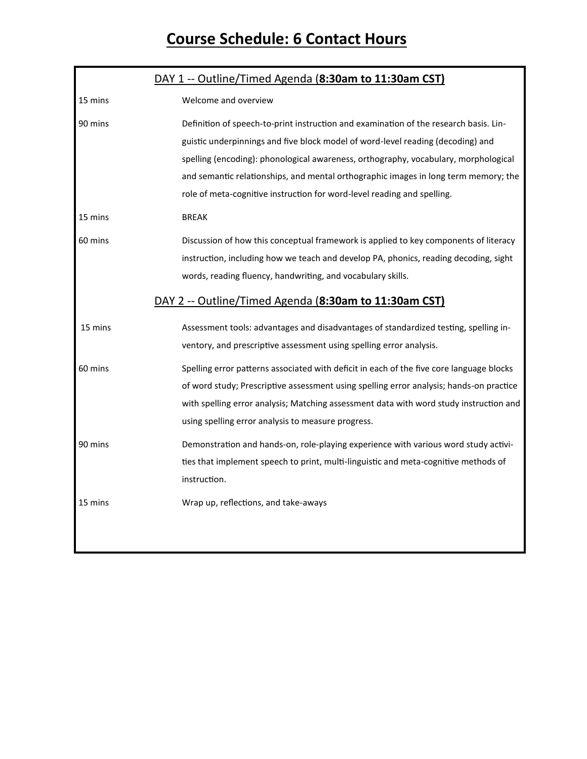# **Course Schedule: 6 Contact Hours**

|         | DAY 1 -- Outline/Timed Agenda (8:30am to 11:30am CST)                                                                                                                                                                                                                                                                                                                                                                             |
|---------|-----------------------------------------------------------------------------------------------------------------------------------------------------------------------------------------------------------------------------------------------------------------------------------------------------------------------------------------------------------------------------------------------------------------------------------|
| 15 mins | Welcome and overview                                                                                                                                                                                                                                                                                                                                                                                                              |
| 90 mins | Definition of speech-to-print instruction and examination of the research basis. Lin-<br>guistic underpinnings and five block model of word-level reading (decoding) and<br>spelling (encoding): phonological awareness, orthography, vocabulary, morphological<br>and semantic relationships, and mental orthographic images in long term memory; the<br>role of meta-cognitive instruction for word-level reading and spelling. |
| 15 mins | <b>BREAK</b>                                                                                                                                                                                                                                                                                                                                                                                                                      |
| 60 mins | Discussion of how this conceptual framework is applied to key components of literacy<br>instruction, including how we teach and develop PA, phonics, reading decoding, sight<br>words, reading fluency, handwriting, and vocabulary skills.<br>DAY 2 -- Outline/Timed Agenda (8:30am to 11:30am CST)                                                                                                                              |
| 15 mins | Assessment tools: advantages and disadvantages of standardized testing, spelling in-<br>ventory, and prescriptive assessment using spelling error analysis.                                                                                                                                                                                                                                                                       |
| 60 mins | Spelling error patterns associated with deficit in each of the five core language blocks<br>of word study; Prescriptive assessment using spelling error analysis; hands-on practice<br>with spelling error analysis; Matching assessment data with word study instruction and<br>using spelling error analysis to measure progress.                                                                                               |
| 90 mins | Demonstration and hands-on, role-playing experience with various word study activi-<br>ties that implement speech to print, multi-linguistic and meta-cognitive methods of<br>instruction.                                                                                                                                                                                                                                        |
| 15 mins | Wrap up, reflections, and take-aways                                                                                                                                                                                                                                                                                                                                                                                              |